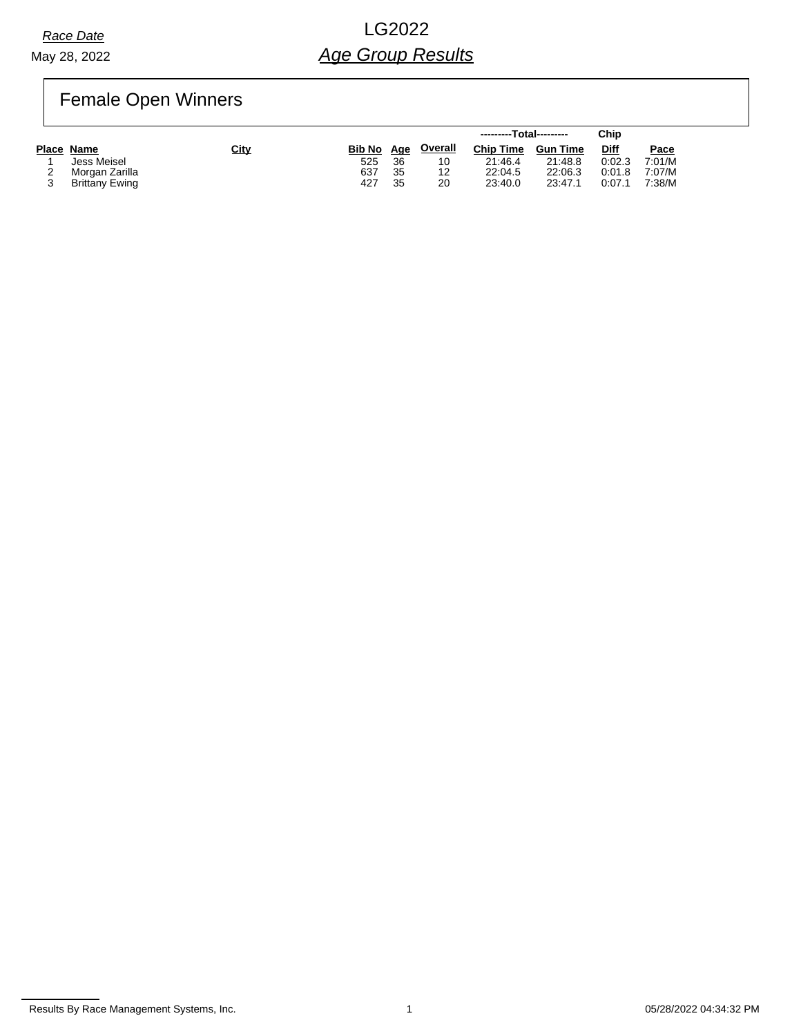May 28, 2022

# *Race Date* LG2022 *Age Group Results*

# Female Open Winners

|                |      |               |     |                | ---------Total--------- |                 | Chip   |        |
|----------------|------|---------------|-----|----------------|-------------------------|-----------------|--------|--------|
| Place Name     | City | <b>Bib No</b> | Age | <b>Overall</b> | <b>Chip Time</b>        | <b>Gun Time</b> | Diff   | Pace   |
| Jess Meisel    |      | 525           | 36  | 10             | 21:46.4                 | 21:48.8         | 0:02.3 | 7:01/M |
| Morgan Zarilla |      | 637           | 35  | 12             | 22:04.5                 | 22:06.3         | 0:01.8 | 7:07/M |
| Brittany Ewing |      | 427           | 35  | 20             | 23:40.0                 | 23:47.1         | 0:07.1 | 7:38/M |

Results By Race Management Systems, Inc. 1 05/28/2022 04:34:32 PM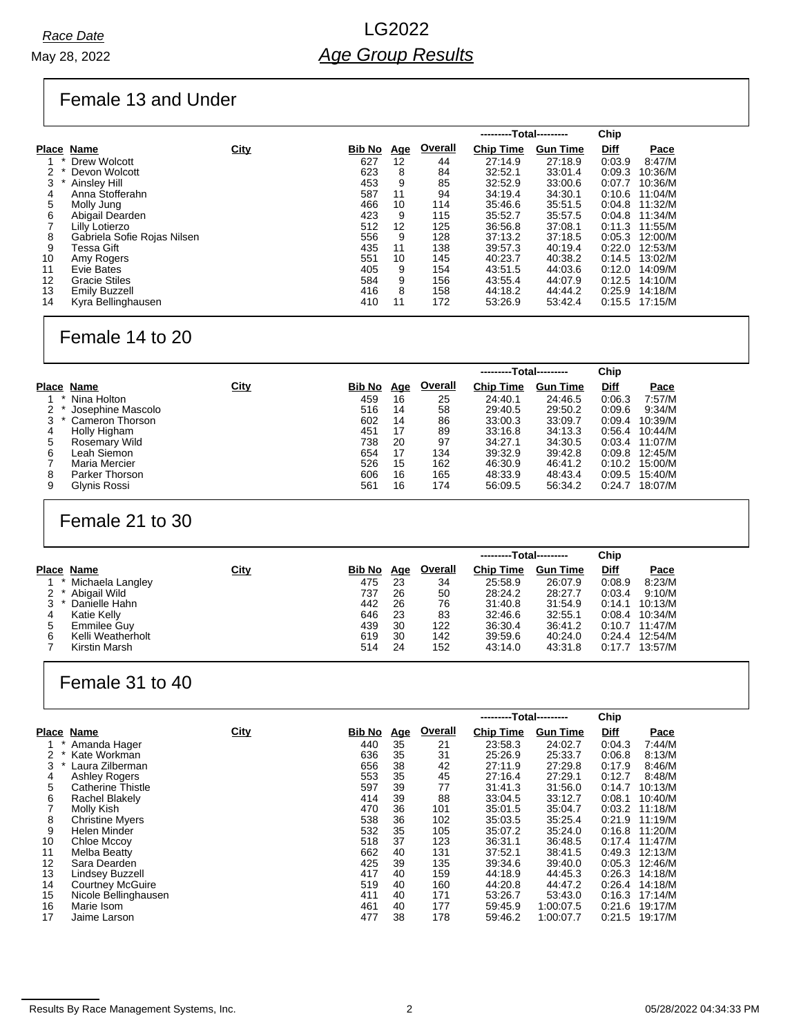## Female 13 and Under

|    |                             |      |               |            |         | ---------Total--------- |                 | Chip        |         |
|----|-----------------------------|------|---------------|------------|---------|-------------------------|-----------------|-------------|---------|
|    | Place Name                  | City | <b>Bib No</b> | <u>Age</u> | Overall | <b>Chip Time</b>        | <b>Gun Time</b> | <u>Diff</u> | Pace    |
|    | Drew Wolcott                |      | 627           | 12         | 44      | 27:14.9                 | 27:18.9         | 0.03.9      | 8:47/M  |
|    | Devon Wolcott               |      | 623           | 8          | 84      | 32:52.1                 | 33:01.4         | 0.09.3      | 10:36/M |
| 3  | Ainslev Hill                |      | 453           | 9          | 85      | 32:52.9                 | 33:00.6         | 0:07.7      | 10:36/M |
| 4  | Anna Stofferahn             |      | 587           | 11         | 94      | 34:19.4                 | 34:30.1         | 0:10.6      | 11:04/M |
| 5  | Molly Jung                  |      | 466           | 10         | 114     | 35:46.6                 | 35:51.5         | 0:04.8      | 11:32/M |
| 6  | Abigail Dearden             |      | 423           | 9          | 115     | 35:52.7                 | 35:57.5         | 0:04.8      | 11:34/M |
|    | Lilly Lotierzo              |      | 512           | 12         | 125     | 36:56.8                 | 37:08.1         | 0:11.3      | 11:55/M |
| 8  | Gabriela Sofie Rojas Nilsen |      | 556           | 9          | 128     | 37:13.2                 | 37:18.5         | 0:05.3      | 12:00/M |
| 9  | Tessa Gift                  |      | 435           | 11         | 138     | 39:57.3                 | 40:19.4         | 0:22.0      | 12:53/M |
| 10 | Amy Rogers                  |      | 551           | 10         | 145     | 40:23.7                 | 40:38.2         | 0:14.5      | 13:02/M |
| 11 | Evie Bates                  |      | 405           | 9          | 154     | 43:51.5                 | 44:03.6         | 0:12.0      | 14:09/M |
| 12 | <b>Gracie Stiles</b>        |      | 584           | 9          | 156     | 43:55.4                 | 44:07.9         | 0:12.5      | 14:10/M |
| 13 | <b>Emily Buzzell</b>        |      | 416           | 8          | 158     | 44:18.2                 | 44:44.2         | 0.25.9      | 14:18/M |
| 14 | Kyra Bellinghausen          |      | 410           | 11         | 172     | 53:26.9                 | 53:42.4         | 0:15.5      | 17:15/M |

## Female 14 to 20

|   |                   |             |               |            |                | ---------Total--------- |                 | Chip        |                  |
|---|-------------------|-------------|---------------|------------|----------------|-------------------------|-----------------|-------------|------------------|
|   | Place Name        | <u>City</u> | <b>Bib No</b> | <u>Age</u> | <b>Overall</b> | <b>Chip Time</b>        | <b>Gun Time</b> | <b>Diff</b> | Pace             |
|   | Nina Holton       |             | 459           | 16         | 25             | 24:40.1                 | 24:46.5         | 0.06.3      | 7:57/M           |
|   | Josephine Mascolo |             | 516           | 14         | 58             | 29:40.5                 | 29:50.2         | 0:09.6      | 9:34/M           |
|   | Cameron Thorson   |             | 602           | 14         | 86             | 33:00.3                 | 33:09.7         | 0.09.4      | 10:39/M          |
| 4 | Holly Higham      |             | 451           | 17         | 89             | 33:16.8                 | 34:13.3         | 0.56.4      | 10:44/M          |
| 5 | Rosemary Wild     |             | 738           | 20         | 97             | 34:27.1                 | 34:30.5         | 0.03.4      | 11:07/M          |
| 6 | Leah Siemon       |             | 654           | 17         | 134            | 39:32.9                 | 39:42.8         |             | $0:09.8$ 12:45/M |
|   | Maria Mercier     |             | 526           | 15         | 162            | 46:30.9                 | 46:41.2         | 0:10.2      | 15:00/M          |
| 8 | Parker Thorson    |             | 606           | 16         | 165            | 48:33.9                 | 48:43.4         | 0:09.5      | 15:40/M          |
| 9 | Glynis Rossi      |             | 561           | 16         | 174            | 56:09.5                 | 56:34.2         | 0.24.7      | 18:07/M          |

#### Female 21 to 30

| <b>Overall</b><br><u>City</u><br>Place Name<br><b>Chip Time</b><br><b>Diff</b><br>Bib No<br><b>Gun Time</b><br>Pace<br><u>Age</u><br>Michaela Langley<br>8:23/M<br>475<br>25:58.9<br>26:07.9<br>0.08.9<br>34<br>23<br>Abigail Wild<br>737<br>50<br>28:24.2<br>28:27.7<br>9:10/M<br>0:03.4<br>26 |  |
|-------------------------------------------------------------------------------------------------------------------------------------------------------------------------------------------------------------------------------------------------------------------------------------------------|--|
|                                                                                                                                                                                                                                                                                                 |  |
|                                                                                                                                                                                                                                                                                                 |  |
|                                                                                                                                                                                                                                                                                                 |  |
| 31:54.9<br>442<br>76<br>31:40.8<br>3<br>Danielle Hahn<br>0:14.1<br>10:13/M<br>26                                                                                                                                                                                                                |  |
| 646<br>83<br>32:46.6<br>32:55.1<br>Katie Kelly<br>10:34/M<br>0.08.4<br>23<br>4                                                                                                                                                                                                                  |  |
| 439<br>122<br>36:30.4<br>36:41.2<br>Emmilee Guy<br>30<br>0:10.7<br>11.47/M<br>5                                                                                                                                                                                                                 |  |
| Kelli Weatherholt<br>619<br>142<br>39:59.6<br>40:24.0<br>12:54/M<br>0.24.4<br>30<br>6                                                                                                                                                                                                           |  |
| 514<br>Kirstin Marsh<br>152<br>43:14.0<br>43:31.8<br>0:17.7<br>24<br>13:57/M                                                                                                                                                                                                                    |  |

### Female 31 to 40

|       |                          |      |        |            |                | ---------Total--------- |                 | Chip        |         |
|-------|--------------------------|------|--------|------------|----------------|-------------------------|-----------------|-------------|---------|
| Place | Name                     | City | Bib No | <u>Age</u> | <b>Overall</b> | <b>Chip Time</b>        | <b>Gun Time</b> | <b>Diff</b> | Pace    |
|       | Amanda Hager             |      | 440    | 35         | 21             | 23:58.3                 | 24:02.7         | 0.04.3      | 7:44/M  |
|       | Kate Workman             |      | 636    | 35         | 31             | 25:26.9                 | 25:33.7         | 0.06.8      | 8:13/M  |
| 3     | Laura Zilberman          |      | 656    | 38         | 42             | 27:11.9                 | 27:29.8         | 0:17.9      | 8:46/M  |
| 4     | <b>Ashley Rogers</b>     |      | 553    | 35         | 45             | 27:16.4                 | 27:29.1         | 0:12.7      | 8:48/M  |
| 5     | <b>Catherine Thistle</b> |      | 597    | 39         | 77             | 31:41.3                 | 31:56.0         | 0:14.7      | 10:13/M |
| 6     | <b>Rachel Blakely</b>    |      | 414    | 39         | 88             | 33:04.5                 | 33:12.7         | 0:08.1      | 10:40/M |
|       | Molly Kish               |      | 470    | 36         | 101            | 35:01.5                 | 35:04.7         | 0.03.2      | 11:18/M |
| 8     | <b>Christine Myers</b>   |      | 538    | 36         | 102            | 35:03.5                 | 35:25.4         | 0:21.9      | 11:19/M |
| 9     | Helen Minder             |      | 532    | 35         | 105            | 35:07.2                 | 35:24.0         | 0:16.8      | 11:20/M |
| 10    | Chloe Mccoy              |      | 518    | 37         | 123            | 36:31.1                 | 36:48.5         | 0:17.4      | 11:47/M |
| 11    | Melba Beatty             |      | 662    | 40         | 131            | 37:52.1                 | 38:41.5         | 0.49.3      | 12:13/M |
| 12    | Sara Dearden             |      | 425    | 39         | 135            | 39:34.6                 | 39:40.0         | 0.05.3      | 12:46/M |
| 13    | Lindsey Buzzell          |      | 417    | 40         | 159            | 44:18.9                 | 44:45.3         | 0.26.3      | 14:18/M |
| 14    | <b>Courtney McGuire</b>  |      | 519    | 40         | 160            | 44:20.8                 | 44:47.2         | 0.26.4      | 14:18/M |
| 15    | Nicole Bellinghausen     |      | 411    | 40         | 171            | 53:26.7                 | 53:43.0         | 0:16.3      | 17:14/M |
| 16    | Marie Isom               |      | 461    | 40         | 177            | 59:45.9                 | 1:00:07.5       | 0:21.6      | 19:17/M |
| 17    | Jaime Larson             |      | 477    | 38         | 178            | 59:46.2                 | 1:00:07.7       | 0:21.5      | 19:17/M |

Results By Race Management Systems, Inc. 2 05/28/2022 04:34:33 PM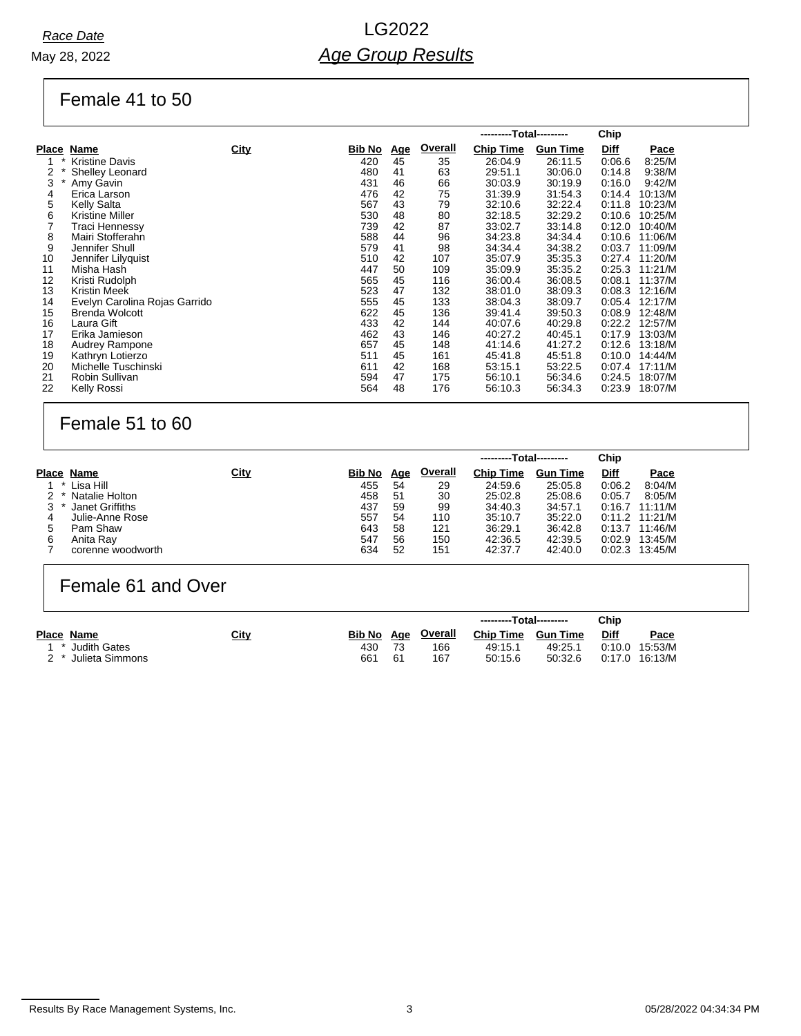#### Female 41 to 50

|              |                               |             |        |            |                | ---------Total--------- |                 | Chip        |             |
|--------------|-------------------------------|-------------|--------|------------|----------------|-------------------------|-----------------|-------------|-------------|
| Place        | Name                          | <b>City</b> | Bib No | <u>Age</u> | <b>Overall</b> | <b>Chip Time</b>        | <b>Gun Time</b> | <b>Diff</b> | <b>Pace</b> |
|              | <b>Kristine Davis</b>         |             | 420    | 45         | 35             | 26:04.9                 | 26:11.5         | 0.06.6      | 8:25/M      |
| 2            | <b>Shelley Leonard</b>        |             | 480    | 41         | 63             | 29:51.1                 | 30:06.0         | 0.14.8      | 9:38/M      |
| 3<br>$\star$ | Amy Gavin                     |             | 431    | 46         | 66             | 30:03.9                 | 30:19.9         | 0:16.0      | 9:42/M      |
| 4            | Erica Larson                  |             | 476    | 42         | 75             | 31:39.9                 | 31:54.3         | 0:14.4      | 10:13/M     |
| 5            | Kelly Salta                   |             | 567    | 43         | 79             | 32:10.6                 | 32:22.4         | 0:11.8      | 10:23/M     |
| 6            | <b>Kristine Miller</b>        |             | 530    | 48         | 80             | 32:18.5                 | 32:29.2         | 0:10.6      | 10:25/M     |
|              | Traci Hennessy                |             | 739    | 42         | 87             | 33:02.7                 | 33:14.8         | 0:12.0      | 10:40/M     |
| 8            | Mairi Stofferahn              |             | 588    | 44         | 96             | 34:23.8                 | 34:34.4         | 0:10.6      | 11:06/M     |
| 9            | Jennifer Shull                |             | 579    | 41         | 98             | 34:34.4                 | 34:38.2         | 0:03.7      | 11:09/M     |
| 10           | Jennifer Lilyquist            |             | 510    | 42         | 107            | 35:07.9                 | 35:35.3         | 0:27.4      | 11:20/M     |
| 11           | Misha Hash                    |             | 447    | 50         | 109            | 35:09.9                 | 35:35.2         | 0.25.3      | 11:21/M     |
| 12           | Kristi Rudolph                |             | 565    | 45         | 116            | 36:00.4                 | 36:08.5         | 0:08.1      | 11:37/M     |
| 13           | Kristin Meek                  |             | 523    | 47         | 132            | 38:01.0                 | 38:09.3         | 0:08.3      | 12:16/M     |
| 14           | Evelyn Carolina Rojas Garrido |             | 555    | 45         | 133            | 38:04.3                 | 38:09.7         | 0:05.4      | 12:17/M     |
| 15           | <b>Brenda Wolcott</b>         |             | 622    | 45         | 136            | 39:41.4                 | 39:50.3         | 0.08.9      | 12:48/M     |
| 16           | Laura Gift                    |             | 433    | 42         | 144            | 40:07.6                 | 40:29.8         | 0:22.2      | 12:57/M     |
| 17           | Erika Jamieson                |             | 462    | 43         | 146            | 40:27.2                 | 40.45.1         | 0:17.9      | 13:03/M     |
| 18           | <b>Audrey Rampone</b>         |             | 657    | 45         | 148            | 41:14.6                 | 41:27.2         | 0:12.6      | 13:18/M     |
| 19           | Kathryn Lotierzo              |             | 511    | 45         | 161            | 45:41.8                 | 45:51.8         | 0:10.0      | 14:44/M     |
| 20           | Michelle Tuschinski           |             | 611    | 42         | 168            | 53:15.1                 | 53:22.5         | 0.07.4      | 17:11/M     |
| 21           | Robin Sullivan                |             | 594    | 47         | 175            | 56:10.1                 | 56:34.6         | 0.24.5      | 18:07/M     |
| 22           | Kelly Rossi                   |             | 564    | 48         | 176            | 56:10.3                 | 56:34.3         | 0:23.9      | 18:07/M     |

### Female 51 to 60

|       |                   |             |        |            |                | ---------Total--------- |                 | Chip   |                  |
|-------|-------------------|-------------|--------|------------|----------------|-------------------------|-----------------|--------|------------------|
|       | Place Name        | <u>City</u> | Bib No | <u>Age</u> | <b>Overall</b> | <b>Chip Time</b>        | <b>Gun Time</b> | Diff   | Pace             |
|       | 1 * Lisa Hill     |             | 455    | 54         | 29             | 24:59.6                 | 25:05.8         | 0:06.2 | 8:04/M           |
| $2^*$ | Natalie Holton    |             | 458    | 51         | 30             | 25:02.8                 | 25:08.6         | 0:05.7 | 8:05/M           |
|       | Janet Griffiths   |             | 437    | 59         | 99             | 34:40.3                 | 34:57.1         | 0:16.7 | 11:11/M          |
| 4     | Julie-Anne Rose   |             | 557    | 54         | 110            | 35:10.7                 | 35:22.0         |        | $0:11.2$ 11:21/M |
| 5     | Pam Shaw          |             | 643    | 58         | 121            | 36:29.1                 | 36:42.8         | 0:13.7 | 11:46/M          |
| 6     | Anita Ray         |             | 547    | 56         | 150            | 42:36.5                 | 42:39.5         | 0.02.9 | 13:45/M          |
|       | corenne woodworth |             | 634    | 52         | 151            | 42:37.7                 | 42:40.0         | 0.02.3 | 13:45/M          |

#### Female 61 and Over

|     |                  |             |        |     |         | ---------Total--------- |                 | Chip   |         |
|-----|------------------|-------------|--------|-----|---------|-------------------------|-----------------|--------|---------|
|     | Place Name       | <u>City</u> | Bib No | Aae | Overall | <b>Chip Time</b>        | <b>Gun Time</b> | Diff   | Pace    |
| י ∼ | 1 * Judith Gates |             | 430    |     | 166     | 49:15.1                 | 49:25.1         | 0:10.0 | 15:53/M |
|     | Julieta Simmons  |             | 661    | -61 | 167     | 50:15.6                 | 50:32.6         | 0:17.0 | 16:13/M |

```
Results By Race Management Systems, Inc. 2008 2012 04:34:34 PM
```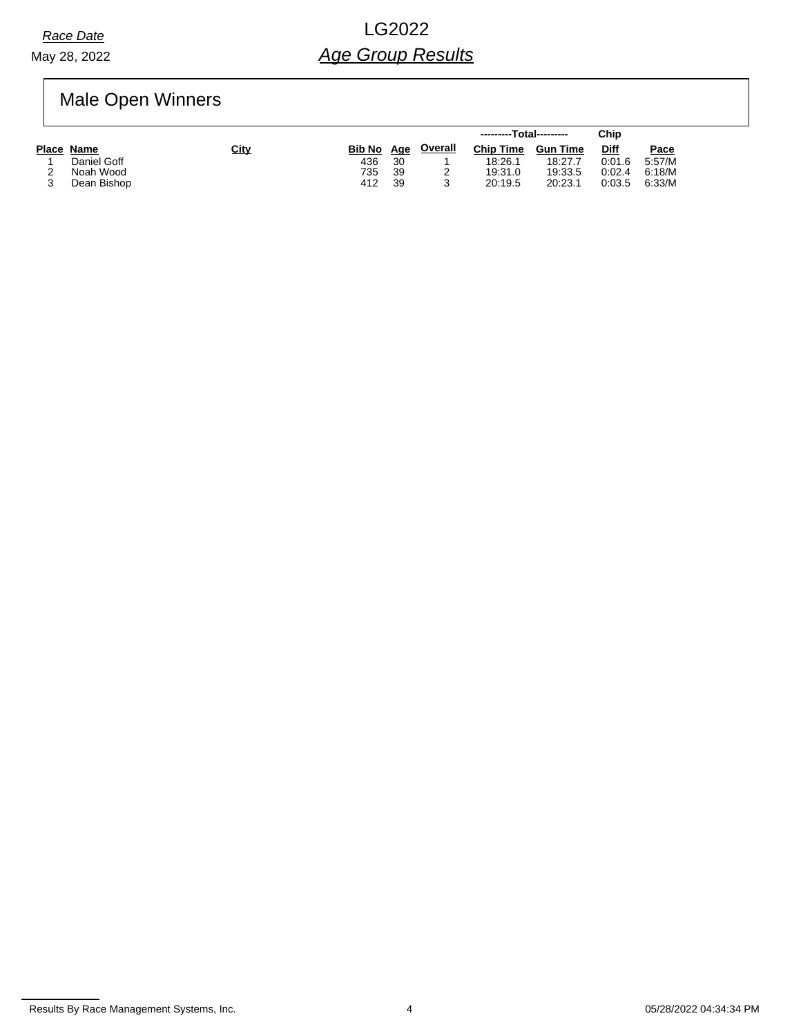May 28, 2022

# *Race Date* LG2022 *Age Group Results*

Male Open Winners

|             |             |               |     |                | ---------Total--------- |                 | Chip   |        |
|-------------|-------------|---------------|-----|----------------|-------------------------|-----------------|--------|--------|
| Place Name  | <u>City</u> | <b>Bib No</b> | Age | <b>Overall</b> | <b>Chip Time</b>        | <b>Gun Time</b> | Diff   | Pace   |
| Daniel Goff |             | 436           | 30  |                | 18:26.1                 | 18:27.7         | 0:01.6 | 5:57/M |
| Noah Wood   |             | 735           | 39  |                | 19:31.0                 | 19:33.5         | 0:02.4 | 6:18/M |
| Dean Bishop |             | 412           | 39  |                | 20:19.5                 | 20:23.1         | 0:03.5 | 6:33/M |

Results By Race Management Systems, Inc. 4 65/28/2022 04:34:34 PM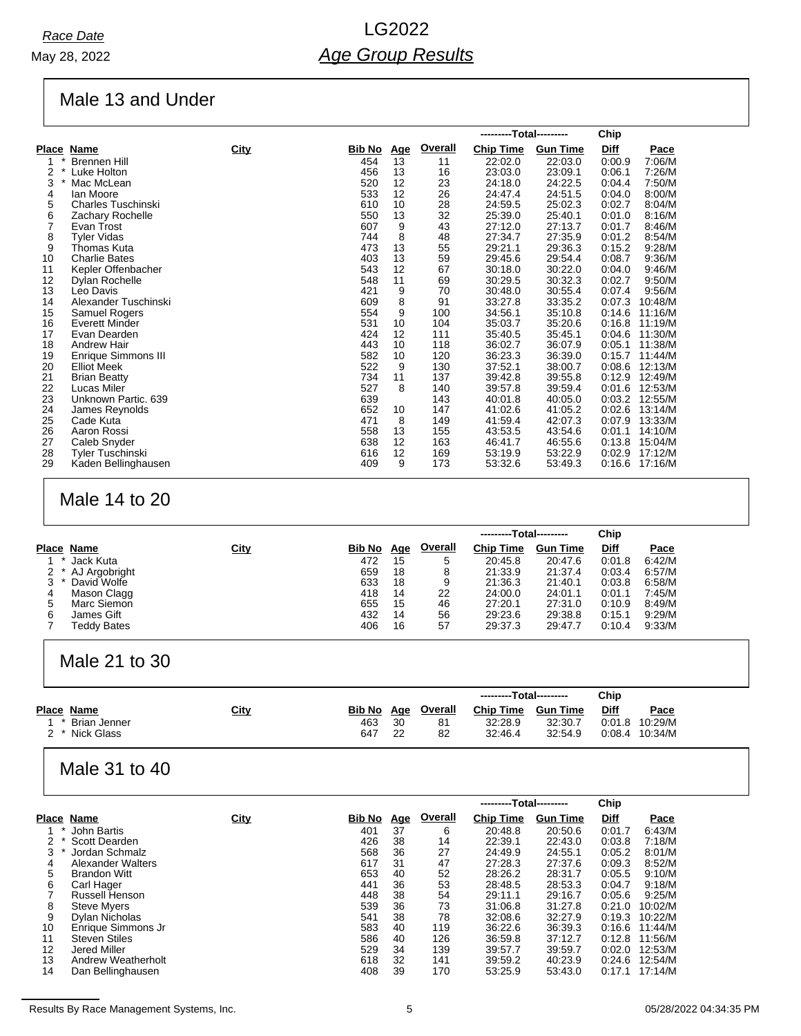# Male 13 and Under

|    |                            |      |               |            |                | ---------Total--------- |                 | Chip        |             |
|----|----------------------------|------|---------------|------------|----------------|-------------------------|-----------------|-------------|-------------|
|    | <u>Place Name</u>          | City | <u>Bib No</u> | <u>Age</u> | <b>Overall</b> | <b>Chip Time</b>        | <b>Gun Time</b> | <b>Diff</b> | <b>Pace</b> |
|    | <b>Brennen Hill</b>        |      | 454           | 13         | 11             | 22:02.0                 | 22:03.0         | 0:00.9      | 7:06/M      |
| 2  | $\star$<br>Luke Holton     |      | 456           | 13         | 16             | 23:03.0                 | 23:09.1         | 0:06.1      | 7:26/M      |
| 3  | Mac McLean                 |      | 520           | 12         | 23             | 24:18.0                 | 24:22.5         | 0.04.4      | 7:50/M      |
| 4  | lan Moore                  |      | 533           | 12         | 26             | 24:47.4                 | 24:51.5         | 0.04.0      | 8:00/M      |
| 5  | <b>Charles Tuschinski</b>  |      | 610           | 10         | 28             | 24:59.5                 | 25:02.3         | 0:02.7      | 8:04/M      |
| 6  | Zachary Rochelle           |      | 550           | 13         | 32             | 25:39.0                 | 25:40.1         | 0.01.0      | 8:16/M      |
| 7  | Evan Trost                 |      | 607           | 9          | 43             | 27:12.0                 | 27:13.7         | 0:01.7      | 8.46/M      |
| 8  | <b>Tyler Vidas</b>         |      | 744           | 8          | 48             | 27:34.7                 | 27:35.9         | 0:01.2      | 8:54/M      |
| 9  | Thomas Kuta                |      | 473           | 13         | 55             | 29:21.1                 | 29:36.3         | 0:15.2      | 9:28/M      |
| 10 | <b>Charlie Bates</b>       |      | 403           | 13         | 59             | 29:45.6                 | 29:54.4         | 0:08.7      | 9:36/M      |
| 11 | Kepler Offenbacher         |      | 543           | 12         | 67             | 30:18.0                 | 30:22.0         | 0.04.0      | 9:46/M      |
| 12 | Dylan Rochelle             |      | 548           | 11         | 69             | 30:29.5                 | 30:32.3         | 0:02.7      | 9:50/M      |
| 13 | Leo Davis                  |      | 421           | 9          | 70             | 30:48.0                 | 30:55.4         | 0.07.4      | 9:56/M      |
| 14 | Alexander Tuschinski       |      | 609           | 8          | 91             | 33:27.8                 | 33:35.2         | 0.07.3      | 10:48/M     |
| 15 | Samuel Rogers              |      | 554           | 9          | 100            | 34:56.1                 | 35:10.8         | 0.14.6      | 11:16/M     |
| 16 | <b>Everett Minder</b>      |      | 531           | 10         | 104            | 35:03.7                 | 35:20.6         | 0.16.8      | 11:19/M     |
| 17 | Evan Dearden               |      | 424           | 12         | 111            | 35:40.5                 | 35:45.1         | 0.04.6      | 11:30/M     |
| 18 | <b>Andrew Hair</b>         |      | 443           | 10         | 118            | 36:02.7                 | 36:07.9         | 0:05.1      | 11:38/M     |
| 19 | <b>Enrique Simmons III</b> |      | 582           | 10         | 120            | 36:23.3                 | 36:39.0         | 0:15.7      | 11:44/M     |
| 20 | <b>Elliot Meek</b>         |      | 522           | 9          | 130            | 37:52.1                 | 38:00.7         | 0.08.6      | 12:13/M     |
| 21 | <b>Brian Beatty</b>        |      | 734           | 11         | 137            | 39:42.8                 | 39:55.8         | 0:12.9      | 12:49/M     |
| 22 | Lucas Miler                |      | 527           | 8          | 140            | 39:57.8                 | 39:59.4         | 0.01.6      | 12:53/M     |
| 23 | Unknown Partic. 639        |      | 639           |            | 143            | 40:01.8                 | 40:05.0         | 0:03.2      | 12:55/M     |
| 24 | James Reynolds             |      | 652           | 10         | 147            | 41:02.6                 | 41:05.2         | 0:02.6      | 13:14/M     |
| 25 | Cade Kuta                  |      | 471           | 8          | 149            | 41:59.4                 | 42:07.3         | 0:07.9      | 13:33/M     |
| 26 | Aaron Rossi                |      | 558           | 13         | 155            | 43:53.5                 | 43:54.6         | 0:01.1      | 14:10/M     |
| 27 | Caleb Snyder               |      | 638           | 12         | 163            | 46:41.7                 | 46:55.6         | 0.13.8      | 15:04/M     |
| 28 | Tyler Tuschinski           |      | 616           | 12         | 169            | 53:19.9                 | 53:22.9         | 0:02.9      | 17:12/M     |
| 29 | Kaden Bellinghausen        |      | 409           | 9          | 173            | 53:32.6                 | 53:49.3         | 0.16.6      | 17:16/M     |

### Male 14 to 20

|   |               |      |        |            |                | ---------Total--------- |                 | Chip        |        |
|---|---------------|------|--------|------------|----------------|-------------------------|-----------------|-------------|--------|
|   | Place Name    | City | Bib No | <u>Age</u> | <b>Overall</b> | <b>Chip Time</b>        | <b>Gun Time</b> | <b>Diff</b> | Pace   |
|   | Jack Kuta     |      | 472    | 15         | 5              | 20:45.8                 | 20:47.6         | 0:01.8      | 6:42/M |
|   | AJ Argobright |      | 659    | 18         | 8              | 21:33.9                 | 21:37.4         | 0:03.4      | 6:57/M |
|   | David Wolfe   |      | 633    | 18         | 9              | 21:36.3                 | 21:40.1         | 0:03.8      | 6:58/M |
|   | Mason Clagg   |      | 418    | 14         | 22             | 24:00.0                 | 24:01.1         | 0:01.1      | 7:45/M |
|   | Marc Siemon   |      | 655    | 15         | 46             | 27:20.1                 | 27:31.0         | 0:10.9      | 8:49/M |
| 6 | James Gift    |      | 432    | 14         | 56             | 29:23.6                 | 29:38.8         | 0:15.1      | 9:29/M |
|   | Teddy Bates   |      | 406    | 16         | 57             | 29:37.3                 | 29:47.7         | 0:10.4      | 9.33/M |

#### Male 21 to 30

|                |      |               |     |                | ---------Total--------- |                 | Chip        |         |
|----------------|------|---------------|-----|----------------|-------------------------|-----------------|-------------|---------|
| Place Name     | City | <b>Bib No</b> | Age | <u>Overall</u> | <b>Chip Time</b>        | <b>Gun Time</b> | <u>Diff</u> | Pace    |
| * Brian Jenner |      | 463           | 30  | 81             | 32:28.9                 | 32:30.7         | 0.01.8      | 10:29/M |
| 2 * Nick Glass |      | 647           | 22  | 82             | 32:46.4                 | 32:54.9         | 0:08.4      | 10:34/M |

#### Male 31 to 40

|    |                      |      |               |            |                | ---------Total--------- |                 | Chip        |         |
|----|----------------------|------|---------------|------------|----------------|-------------------------|-----------------|-------------|---------|
|    | Place Name           | City | <b>Bib No</b> | <u>Age</u> | <b>Overall</b> | <b>Chip Time</b>        | <b>Gun Time</b> | <u>Diff</u> | Pace    |
|    | John Bartis          |      | 401           | 37         | 6              | 20:48.8                 | 20:50.6         | 0:01.7      | 6:43/M  |
| 2  | Scott Dearden        |      | 426           | 38         | 14             | 22:39.1                 | 22:43.0         | 0:03.8      | 7:18/M  |
| 3  | Jordan Schmalz       |      | 568           | 36         | 27             | 24:49.9                 | 24:55.1         | 0:05.2      | 8:01/M  |
| 4  | Alexander Walters    |      | 617           | 31         | 47             | 27:28.3                 | 27:37.6         | 0.09.3      | 8:52/M  |
| 5  | <b>Brandon Witt</b>  |      | 653           | 40         | 52             | 28:26.2                 | 28:31.7         | 0:05.5      | 9:10/M  |
| 6  | Carl Hager           |      | 441           | 36         | 53             | 28:48.5                 | 28:53.3         | 0:04.7      | 9:18/M  |
|    | Russell Henson       |      | 448           | 38         | 54             | 29:11.1                 | 29:16.7         | 0:05.6      | 9:25/M  |
| 8  | <b>Steve Myers</b>   |      | 539           | 36         | 73             | 31:06.8                 | 31:27.8         | 0:21.0      | 10:02/M |
| 9  | Dylan Nicholas       |      | 541           | 38         | 78             | 32:08.6                 | 32:27.9         | 0:19.3      | 10:22/M |
| 10 | Enrique Simmons Jr   |      | 583           | 40         | 119            | 36.22.6                 | 36:39.3         | 0:16.6      | 11:44/M |
| 11 | <b>Steven Stiles</b> |      | 586           | 40         | 126            | 36:59.8                 | 37:12.7         | 0:12.8      | 11:56/M |
| 12 | Jered Miller         |      | 529           | 34         | 139            | 39:57.7                 | 39:59.7         | 0:02.0      | 12:53/M |
| 13 | Andrew Weatherholt   |      | 618           | 32         | 141            | 39:59.2                 | 40:23.9         | 0:24.6      | 12:54/M |
| 14 | Dan Bellinghausen    |      | 408           | 39         | 170            | 53:25.9                 | 53:43.0         | 0:17.1      | 17:14/M |